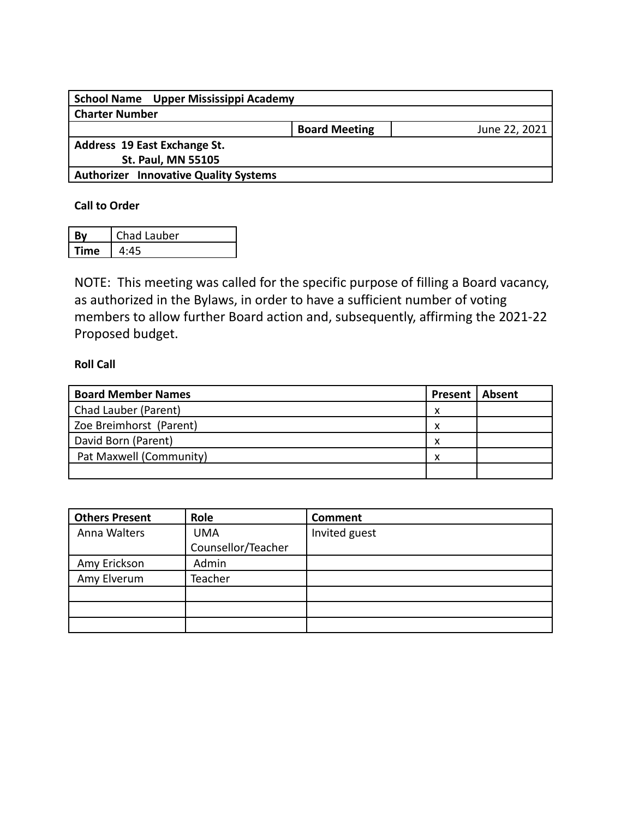| School Name Upper Mississippi Academy        |                      |               |
|----------------------------------------------|----------------------|---------------|
| <b>Charter Number</b>                        |                      |               |
|                                              | <b>Board Meeting</b> | June 22, 2021 |
| Address 19 East Exchange St.                 |                      |               |
| <b>St. Paul, MN 55105</b>                    |                      |               |
| <b>Authorizer Innovative Quality Systems</b> |                      |               |
|                                              |                      |               |

## **Call to Order**

| Βv   | Chad Lauber |
|------|-------------|
| Time |             |

NOTE: This meeting was called for the specific purpose of filling a Board vacancy, as authorized in the Bylaws, in order to have a sufficient number of voting members to allow further Board action and, subsequently, affirming the 2021-22 Proposed budget.

## **Roll Call**

| <b>Board Member Names</b> | <b>Present   Absent</b> |  |
|---------------------------|-------------------------|--|
| Chad Lauber (Parent)      | x                       |  |
| Zoe Breimhorst (Parent)   | х                       |  |
| David Born (Parent)       | x                       |  |
| Pat Maxwell (Community)   | x                       |  |
|                           |                         |  |

| <b>Others Present</b> | Role               | <b>Comment</b> |
|-----------------------|--------------------|----------------|
| Anna Walters          | <b>UMA</b>         | Invited guest  |
|                       | Counsellor/Teacher |                |
| Amy Erickson          | Admin              |                |
| Amy Elverum           | Teacher            |                |
|                       |                    |                |
|                       |                    |                |
|                       |                    |                |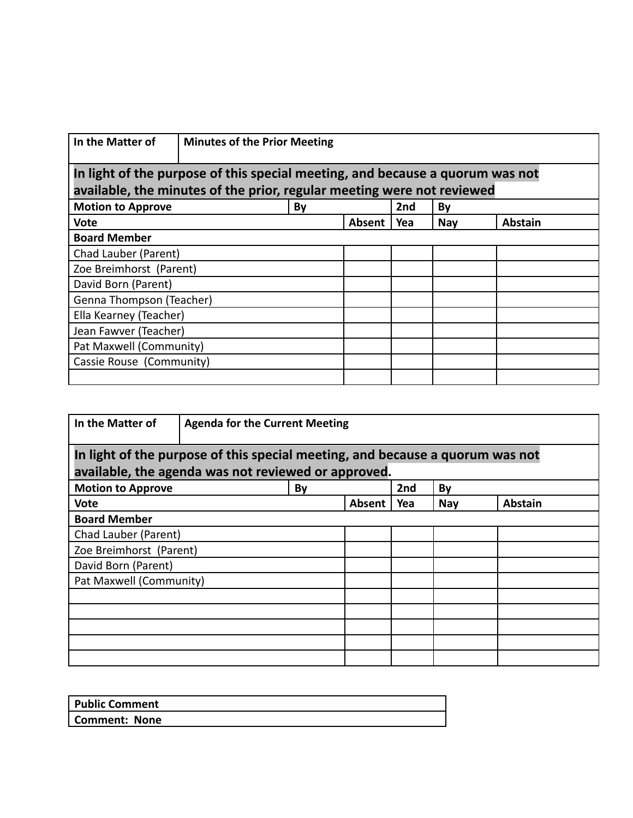| In the Matter of                                                                                                                                        | <b>Minutes of the Prior Meeting</b> |    |        |                 |            |                |  |  |
|---------------------------------------------------------------------------------------------------------------------------------------------------------|-------------------------------------|----|--------|-----------------|------------|----------------|--|--|
| In light of the purpose of this special meeting, and because a quorum was not<br>available, the minutes of the prior, regular meeting were not reviewed |                                     |    |        |                 |            |                |  |  |
| <b>Motion to Approve</b>                                                                                                                                |                                     | By |        | 2 <sub>nd</sub> | By         |                |  |  |
| <b>Vote</b>                                                                                                                                             |                                     |    | Absent | Yea             | <b>Nay</b> | <b>Abstain</b> |  |  |
| <b>Board Member</b>                                                                                                                                     |                                     |    |        |                 |            |                |  |  |
| Chad Lauber (Parent)                                                                                                                                    |                                     |    |        |                 |            |                |  |  |
| Zoe Breimhorst (Parent)                                                                                                                                 |                                     |    |        |                 |            |                |  |  |
| David Born (Parent)                                                                                                                                     |                                     |    |        |                 |            |                |  |  |
| Genna Thompson (Teacher)                                                                                                                                |                                     |    |        |                 |            |                |  |  |
| Ella Kearney (Teacher)                                                                                                                                  |                                     |    |        |                 |            |                |  |  |
| Jean Fawver (Teacher)                                                                                                                                   |                                     |    |        |                 |            |                |  |  |
| Pat Maxwell (Community)                                                                                                                                 |                                     |    |        |                 |            |                |  |  |
| Cassie Rouse (Community)                                                                                                                                |                                     |    |        |                 |            |                |  |  |
|                                                                                                                                                         |                                     |    |        |                 |            |                |  |  |

| In the Matter of                                                              | <b>Agenda for the Current Meeting</b>               |    |        |     |            |                |  |  |
|-------------------------------------------------------------------------------|-----------------------------------------------------|----|--------|-----|------------|----------------|--|--|
| In light of the purpose of this special meeting, and because a quorum was not |                                                     |    |        |     |            |                |  |  |
|                                                                               | available, the agenda was not reviewed or approved. |    |        |     |            |                |  |  |
| <b>Motion to Approve</b>                                                      |                                                     | By |        | 2nd | By         |                |  |  |
| Vote                                                                          |                                                     |    | Absent | Yea | <b>Nay</b> | <b>Abstain</b> |  |  |
| <b>Board Member</b>                                                           |                                                     |    |        |     |            |                |  |  |
| Chad Lauber (Parent)                                                          |                                                     |    |        |     |            |                |  |  |
| Zoe Breimhorst (Parent)                                                       |                                                     |    |        |     |            |                |  |  |
| David Born (Parent)                                                           |                                                     |    |        |     |            |                |  |  |
| Pat Maxwell (Community)                                                       |                                                     |    |        |     |            |                |  |  |
|                                                                               |                                                     |    |        |     |            |                |  |  |
|                                                                               |                                                     |    |        |     |            |                |  |  |
|                                                                               |                                                     |    |        |     |            |                |  |  |
|                                                                               |                                                     |    |        |     |            |                |  |  |
|                                                                               |                                                     |    |        |     |            |                |  |  |

| <b>Public Comment</b> |  |
|-----------------------|--|
| Comment: None         |  |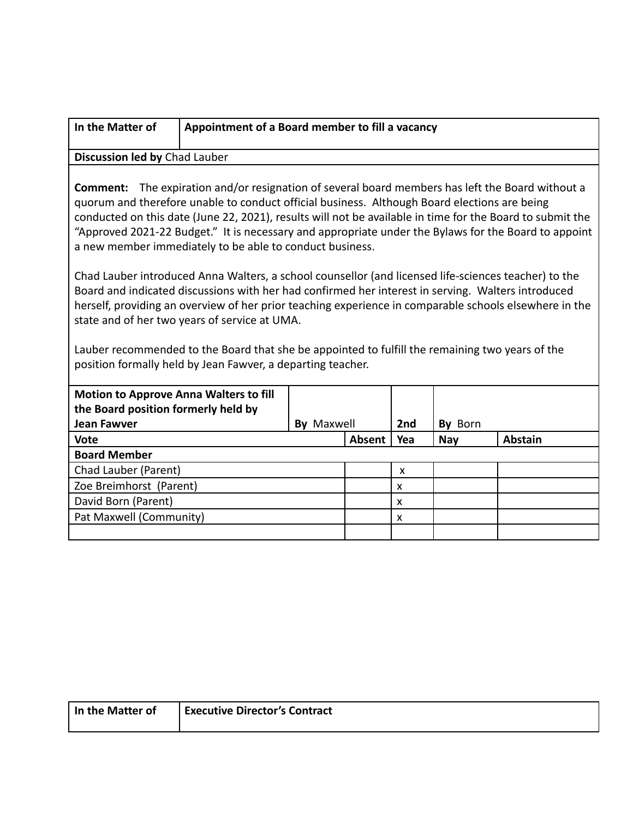| In the Matter of                                                                                                                                                                                                                                                                                                                                                                                                                                                                                                                                                                                                                                                                                                                                                                                                                                                                                                                                                                                                                    | Appointment of a Board member to fill a vacancy |                   |               |     |            |                |  |  |
|-------------------------------------------------------------------------------------------------------------------------------------------------------------------------------------------------------------------------------------------------------------------------------------------------------------------------------------------------------------------------------------------------------------------------------------------------------------------------------------------------------------------------------------------------------------------------------------------------------------------------------------------------------------------------------------------------------------------------------------------------------------------------------------------------------------------------------------------------------------------------------------------------------------------------------------------------------------------------------------------------------------------------------------|-------------------------------------------------|-------------------|---------------|-----|------------|----------------|--|--|
|                                                                                                                                                                                                                                                                                                                                                                                                                                                                                                                                                                                                                                                                                                                                                                                                                                                                                                                                                                                                                                     | Discussion led by Chad Lauber                   |                   |               |     |            |                |  |  |
| <b>Comment:</b> The expiration and/or resignation of several board members has left the Board without a<br>quorum and therefore unable to conduct official business. Although Board elections are being<br>conducted on this date (June 22, 2021), results will not be available in time for the Board to submit the<br>"Approved 2021-22 Budget." It is necessary and appropriate under the Bylaws for the Board to appoint<br>a new member immediately to be able to conduct business.<br>Chad Lauber introduced Anna Walters, a school counsellor (and licensed life-sciences teacher) to the<br>Board and indicated discussions with her had confirmed her interest in serving. Walters introduced<br>herself, providing an overview of her prior teaching experience in comparable schools elsewhere in the<br>state and of her two years of service at UMA.<br>Lauber recommended to the Board that she be appointed to fulfill the remaining two years of the<br>position formally held by Jean Fawver, a departing teacher. |                                                 |                   |               |     |            |                |  |  |
| <b>Motion to Approve Anna Walters to fill</b>                                                                                                                                                                                                                                                                                                                                                                                                                                                                                                                                                                                                                                                                                                                                                                                                                                                                                                                                                                                       |                                                 |                   |               |     |            |                |  |  |
| the Board position formerly held by                                                                                                                                                                                                                                                                                                                                                                                                                                                                                                                                                                                                                                                                                                                                                                                                                                                                                                                                                                                                 |                                                 |                   |               |     |            |                |  |  |
| <b>Jean Fawver</b>                                                                                                                                                                                                                                                                                                                                                                                                                                                                                                                                                                                                                                                                                                                                                                                                                                                                                                                                                                                                                  |                                                 | <b>By Maxwell</b> |               | 2nd | By Born    |                |  |  |
| <b>Vote</b>                                                                                                                                                                                                                                                                                                                                                                                                                                                                                                                                                                                                                                                                                                                                                                                                                                                                                                                                                                                                                         |                                                 |                   | <b>Absent</b> | Yea | <b>Nay</b> | <b>Abstain</b> |  |  |
| <b>Board Member</b>                                                                                                                                                                                                                                                                                                                                                                                                                                                                                                                                                                                                                                                                                                                                                                                                                                                                                                                                                                                                                 |                                                 |                   |               |     |            |                |  |  |
| Chad Lauber (Parent)<br>X                                                                                                                                                                                                                                                                                                                                                                                                                                                                                                                                                                                                                                                                                                                                                                                                                                                                                                                                                                                                           |                                                 |                   |               |     |            |                |  |  |
| Zoe Breimhorst (Parent)<br>X                                                                                                                                                                                                                                                                                                                                                                                                                                                                                                                                                                                                                                                                                                                                                                                                                                                                                                                                                                                                        |                                                 |                   |               |     |            |                |  |  |
| David Born (Parent)<br>X                                                                                                                                                                                                                                                                                                                                                                                                                                                                                                                                                                                                                                                                                                                                                                                                                                                                                                                                                                                                            |                                                 |                   |               |     |            |                |  |  |
| Pat Maxwell (Community)                                                                                                                                                                                                                                                                                                                                                                                                                                                                                                                                                                                                                                                                                                                                                                                                                                                                                                                                                                                                             |                                                 |                   |               | X   |            |                |  |  |
|                                                                                                                                                                                                                                                                                                                                                                                                                                                                                                                                                                                                                                                                                                                                                                                                                                                                                                                                                                                                                                     |                                                 |                   |               |     |            |                |  |  |

| In the Matter of | <b>Executive Director's Contract</b> |
|------------------|--------------------------------------|
|                  |                                      |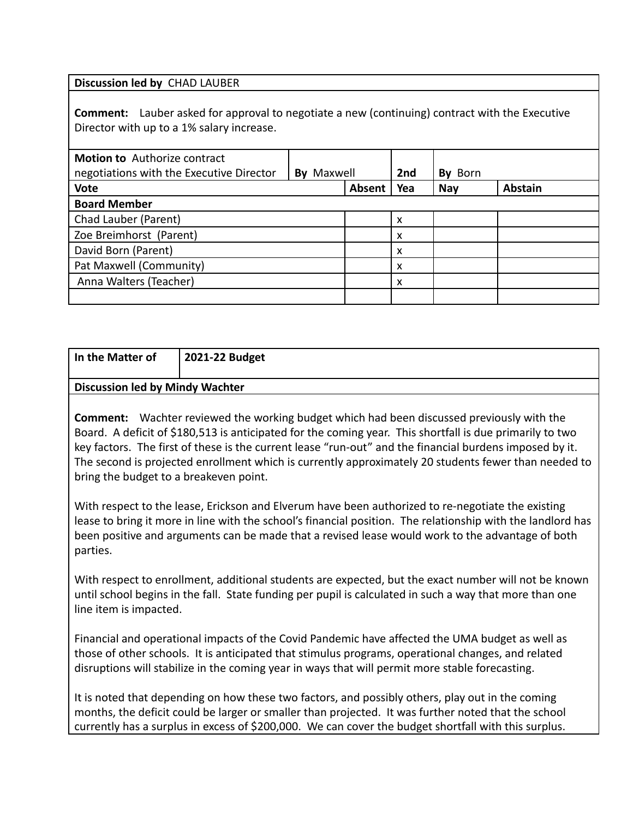**Discussion led by** CHAD LAUBER

**Comment:** Lauber asked for approval to negotiate a new (continuing) contract with the Executive Director with up to a 1% salary increase.

| <b>Motion to</b> Authorize contract<br>negotiations with the Executive Director | <b>By Maxwell</b> |               | 2nd                       | Born<br>Bv |                |
|---------------------------------------------------------------------------------|-------------------|---------------|---------------------------|------------|----------------|
| <b>Vote</b>                                                                     |                   | <b>Absent</b> | Yea                       | <b>Nay</b> | <b>Abstain</b> |
| <b>Board Member</b>                                                             |                   |               |                           |            |                |
| Chad Lauber (Parent)                                                            |                   |               | X                         |            |                |
| Zoe Breimhorst (Parent)                                                         |                   |               | X                         |            |                |
| David Born (Parent)                                                             |                   |               | $\boldsymbol{\mathsf{x}}$ |            |                |
| Pat Maxwell (Community)                                                         |                   |               | X                         |            |                |
| Anna Walters (Teacher)                                                          |                   |               | $\boldsymbol{\mathsf{x}}$ |            |                |
|                                                                                 |                   |               |                           |            |                |

| In the Matter of                       | 2021-22 Budget                                                                                                                                                                                                            |  |  |  |  |  |
|----------------------------------------|---------------------------------------------------------------------------------------------------------------------------------------------------------------------------------------------------------------------------|--|--|--|--|--|
| <b>Discussion led by Mindy Wachter</b> |                                                                                                                                                                                                                           |  |  |  |  |  |
|                                        | <b>Comment:</b> Wachter reviewed the working budget which had been discussed previously with the<br>$\Box$ Roard $\Box$ A deficit of \$180.512 is anticipated for the coming vear. This shortfall is due primarily to two |  |  |  |  |  |

Board. A deficit of \$180,513 is anticipated for the coming year. This shortfall is due primarily to two key factors. The first of these is the current lease "run-out" and the financial burdens imposed by it. The second is projected enrollment which is currently approximately 20 students fewer than needed to bring the budget to a breakeven point.

With respect to the lease, Erickson and Elverum have been authorized to re-negotiate the existing lease to bring it more in line with the school's financial position. The relationship with the landlord has been positive and arguments can be made that a revised lease would work to the advantage of both parties.

With respect to enrollment, additional students are expected, but the exact number will not be known until school begins in the fall. State funding per pupil is calculated in such a way that more than one line item is impacted.

Financial and operational impacts of the Covid Pandemic have affected the UMA budget as well as those of other schools. It is anticipated that stimulus programs, operational changes, and related disruptions will stabilize in the coming year in ways that will permit more stable forecasting.

It is noted that depending on how these two factors, and possibly others, play out in the coming months, the deficit could be larger or smaller than projected. It was further noted that the school currently has a surplus in excess of \$200,000. We can cover the budget shortfall with this surplus.